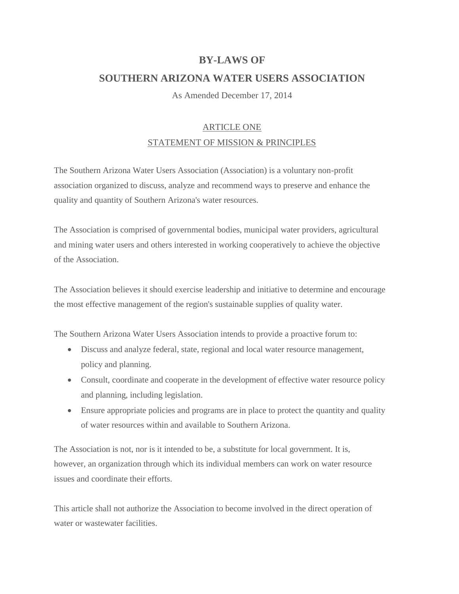## **BY-LAWS OF**

## **SOUTHERN ARIZONA WATER USERS ASSOCIATION**

As Amended December 17, 2014

### ARTICLE ONE

### STATEMENT OF MISSION & PRINCIPLES

The Southern Arizona Water Users Association (Association) is a voluntary non-profit association organized to discuss, analyze and recommend ways to preserve and enhance the quality and quantity of Southern Arizona's water resources.

The Association is comprised of governmental bodies, municipal water providers, agricultural and mining water users and others interested in working cooperatively to achieve the objective of the Association.

The Association believes it should exercise leadership and initiative to determine and encourage the most effective management of the region's sustainable supplies of quality water.

The Southern Arizona Water Users Association intends to provide a proactive forum to:

- Discuss and analyze federal, state, regional and local water resource management, policy and planning.
- Consult, coordinate and cooperate in the development of effective water resource policy and planning, including legislation.
- Ensure appropriate policies and programs are in place to protect the quantity and quality of water resources within and available to Southern Arizona.

The Association is not, nor is it intended to be, a substitute for local government. It is, however, an organization through which its individual members can work on water resource issues and coordinate their efforts.

This article shall not authorize the Association to become involved in the direct operation of water or wastewater facilities.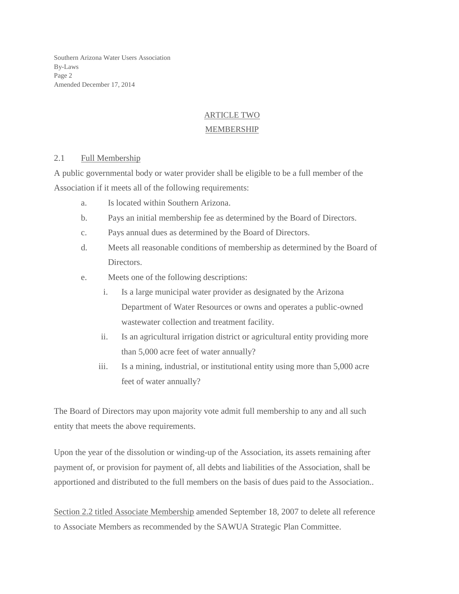Southern Arizona Water Users Association By-Laws Page 2 Amended December 17, 2014

# ARTICLE TWO

### MEMBERSHIP

### 2.1 Full Membership

A public governmental body or water provider shall be eligible to be a full member of the Association if it meets all of the following requirements:

- a. Is located within Southern Arizona.
- b. Pays an initial membership fee as determined by the Board of Directors.
- c. Pays annual dues as determined by the Board of Directors.
- d. Meets all reasonable conditions of membership as determined by the Board of Directors.
- e. Meets one of the following descriptions:
	- i. Is a large municipal water provider as designated by the Arizona Department of Water Resources or owns and operates a public-owned wastewater collection and treatment facility.
	- ii. Is an agricultural irrigation district or agricultural entity providing more than 5,000 acre feet of water annually?
	- iii. Is a mining, industrial, or institutional entity using more than 5,000 acre feet of water annually?

The Board of Directors may upon majority vote admit full membership to any and all such entity that meets the above requirements.

Upon the year of the dissolution or winding-up of the Association, its assets remaining after payment of, or provision for payment of, all debts and liabilities of the Association, shall be apportioned and distributed to the full members on the basis of dues paid to the Association..

Section 2.2 titled Associate Membership amended September 18, 2007 to delete all reference to Associate Members as recommended by the SAWUA Strategic Plan Committee.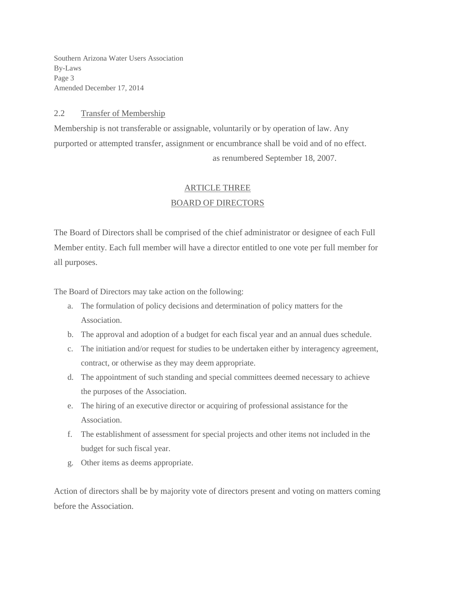Southern Arizona Water Users Association By-Laws Page 3 Amended December 17, 2014

#### 2.2 Transfer of Membership

Membership is not transferable or assignable, voluntarily or by operation of law. Any purported or attempted transfer, assignment or encumbrance shall be void and of no effect. as renumbered September 18, 2007.

### ARTICLE THREE

#### BOARD OF DIRECTORS

The Board of Directors shall be comprised of the chief administrator or designee of each Full Member entity. Each full member will have a director entitled to one vote per full member for all purposes.

The Board of Directors may take action on the following:

- a. The formulation of policy decisions and determination of policy matters for the Association.
- b. The approval and adoption of a budget for each fiscal year and an annual dues schedule.
- c. The initiation and/or request for studies to be undertaken either by interagency agreement, contract, or otherwise as they may deem appropriate.
- d. The appointment of such standing and special committees deemed necessary to achieve the purposes of the Association.
- e. The hiring of an executive director or acquiring of professional assistance for the Association.
- f. The establishment of assessment for special projects and other items not included in the budget for such fiscal year.
- g. Other items as deems appropriate.

Action of directors shall be by majority vote of directors present and voting on matters coming before the Association.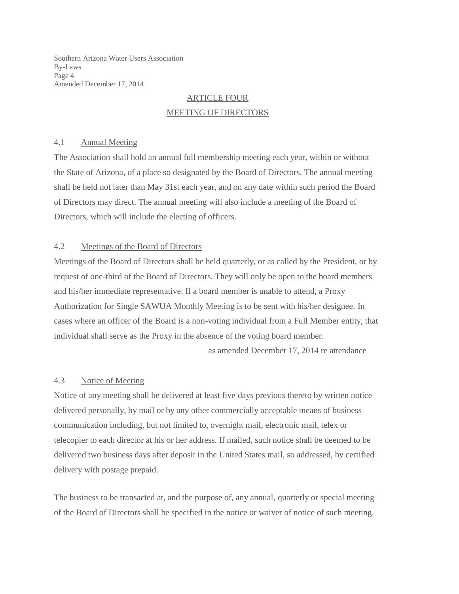Southern Arizona Water Users Association By-Laws Page 4 Amended December 17, 2014

# ARTICLE FOUR MEETING OF DIRECTORS

#### 4.1 Annual Meeting

The Association shall hold an annual full membership meeting each year, within or without the State of Arizona, of a place so designated by the Board of Directors. The annual meeting shall be held not later than May 31st each year, and on any date within such period the Board of Directors may direct. The annual meeting will also include a meeting of the Board of Directors, which will include the electing of officers.

#### 4.2 Meetings of the Board of Directors

Meetings of the Board of Directors shall be held quarterly, or as called by the President, or by request of one-third of the Board of Directors. They will only be open to the board members and his/her immediate representative. If a board member is unable to attend, a Proxy Authorization for Single SAWUA Monthly Meeting is to be sent with his/her designee. In cases where an officer of the Board is a non-voting individual from a Full Member entity, that individual shall serve as the Proxy in the absence of the voting board member.

as amended December 17, 2014 re attendance

### 4.3 Notice of Meeting

Notice of any meeting shall be delivered at least five days previous thereto by written notice delivered personally, by mail or by any other commercially acceptable means of business communication including, but not limited to, overnight mail, electronic mail, telex or telecopier to each director at his or her address. If mailed, such notice shall be deemed to be delivered two business days after deposit in the United States mail, so addressed, by certified delivery with postage prepaid.

The business to be transacted at, and the purpose of, any annual, quarterly or special meeting of the Board of Directors shall be specified in the notice or waiver of notice of such meeting.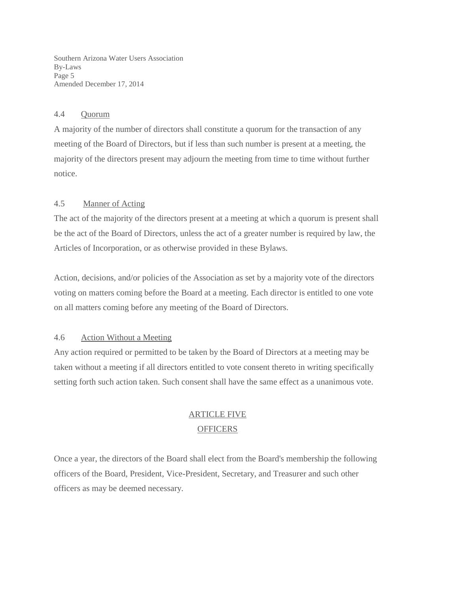Southern Arizona Water Users Association By-Laws Page 5 Amended December 17, 2014

#### 4.4 Quorum

A majority of the number of directors shall constitute a quorum for the transaction of any meeting of the Board of Directors, but if less than such number is present at a meeting, the majority of the directors present may adjourn the meeting from time to time without further notice.

#### 4.5 Manner of Acting

The act of the majority of the directors present at a meeting at which a quorum is present shall be the act of the Board of Directors, unless the act of a greater number is required by law, the Articles of Incorporation, or as otherwise provided in these Bylaws.

Action, decisions, and/or policies of the Association as set by a majority vote of the directors voting on matters coming before the Board at a meeting. Each director is entitled to one vote on all matters coming before any meeting of the Board of Directors.

#### 4.6 Action Without a Meeting

Any action required or permitted to be taken by the Board of Directors at a meeting may be taken without a meeting if all directors entitled to vote consent thereto in writing specifically setting forth such action taken. Such consent shall have the same effect as a unanimous vote.

# ARTICLE FIVE

### **OFFICERS**

Once a year, the directors of the Board shall elect from the Board's membership the following officers of the Board, President, Vice-President, Secretary, and Treasurer and such other officers as may be deemed necessary.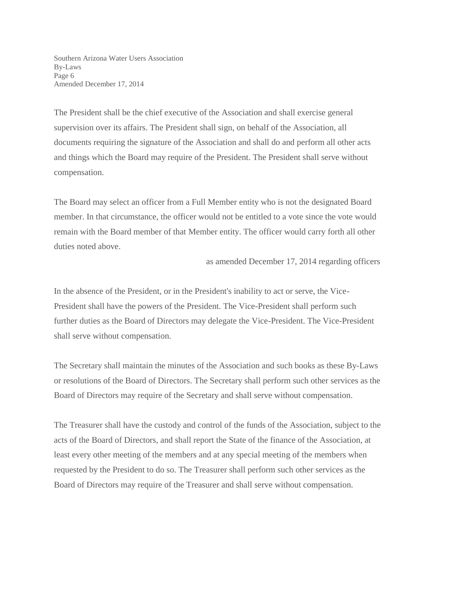Southern Arizona Water Users Association By-Laws Page 6 Amended December 17, 2014

The President shall be the chief executive of the Association and shall exercise general supervision over its affairs. The President shall sign, on behalf of the Association, all documents requiring the signature of the Association and shall do and perform all other acts and things which the Board may require of the President. The President shall serve without compensation.

The Board may select an officer from a Full Member entity who is not the designated Board member. In that circumstance, the officer would not be entitled to a vote since the vote would remain with the Board member of that Member entity. The officer would carry forth all other duties noted above.

as amended December 17, 2014 regarding officers

In the absence of the President, or in the President's inability to act or serve, the Vice-President shall have the powers of the President. The Vice-President shall perform such further duties as the Board of Directors may delegate the Vice-President. The Vice-President shall serve without compensation.

The Secretary shall maintain the minutes of the Association and such books as these By-Laws or resolutions of the Board of Directors. The Secretary shall perform such other services as the Board of Directors may require of the Secretary and shall serve without compensation.

The Treasurer shall have the custody and control of the funds of the Association, subject to the acts of the Board of Directors, and shall report the State of the finance of the Association, at least every other meeting of the members and at any special meeting of the members when requested by the President to do so. The Treasurer shall perform such other services as the Board of Directors may require of the Treasurer and shall serve without compensation.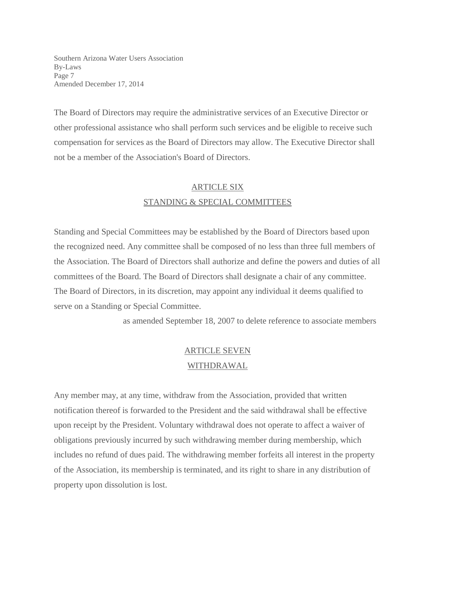Southern Arizona Water Users Association By-Laws Page 7 Amended December 17, 2014

The Board of Directors may require the administrative services of an Executive Director or other professional assistance who shall perform such services and be eligible to receive such compensation for services as the Board of Directors may allow. The Executive Director shall not be a member of the Association's Board of Directors.

## ARTICLE SIX STANDING & SPECIAL COMMITTEES

Standing and Special Committees may be established by the Board of Directors based upon the recognized need. Any committee shall be composed of no less than three full members of the Association. The Board of Directors shall authorize and define the powers and duties of all committees of the Board. The Board of Directors shall designate a chair of any committee. The Board of Directors, in its discretion, may appoint any individual it deems qualified to serve on a Standing or Special Committee.

as amended September 18, 2007 to delete reference to associate members

# ARTICLE SEVEN WITHDRAWAL

Any member may, at any time, withdraw from the Association, provided that written notification thereof is forwarded to the President and the said withdrawal shall be effective upon receipt by the President. Voluntary withdrawal does not operate to affect a waiver of obligations previously incurred by such withdrawing member during membership, which includes no refund of dues paid. The withdrawing member forfeits all interest in the property of the Association, its membership is terminated, and its right to share in any distribution of property upon dissolution is lost.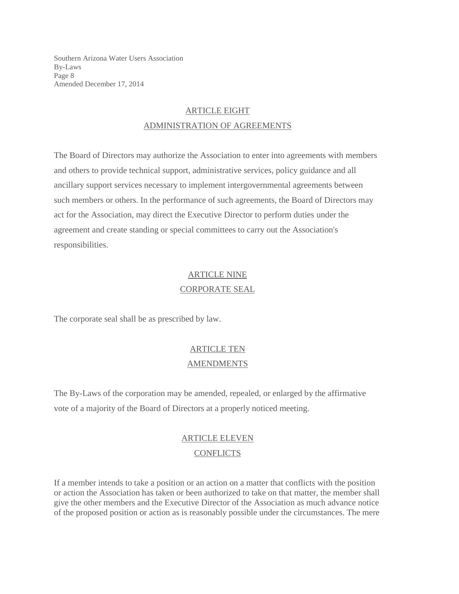Southern Arizona Water Users Association By-Laws Page 8 Amended December 17, 2014

## ARTICLE EIGHT ADMINISTRATION OF AGREEMENTS

The Board of Directors may authorize the Association to enter into agreements with members and others to provide technical support, administrative services, policy guidance and all ancillary support services necessary to implement intergovernmental agreements between such members or others. In the performance of such agreements, the Board of Directors may act for the Association, may direct the Executive Director to perform duties under the agreement and create standing or special committees to carry out the Association's responsibilities.

# ARTICLE NINE CORPORATE SEAL

The corporate seal shall be as prescribed by law.

# ARTICLE TEN AMENDMENTS

The By-Laws of the corporation may be amended, repealed, or enlarged by the affirmative vote of a majority of the Board of Directors at a properly noticed meeting.

# ARTICLE ELEVEN

### **CONFLICTS**

If a member intends to take a position or an action on a matter that conflicts with the position or action the Association has taken or been authorized to take on that matter, the member shall give the other members and the Executive Director of the Association as much advance notice of the proposed position or action as is reasonably possible under the circumstances. The mere